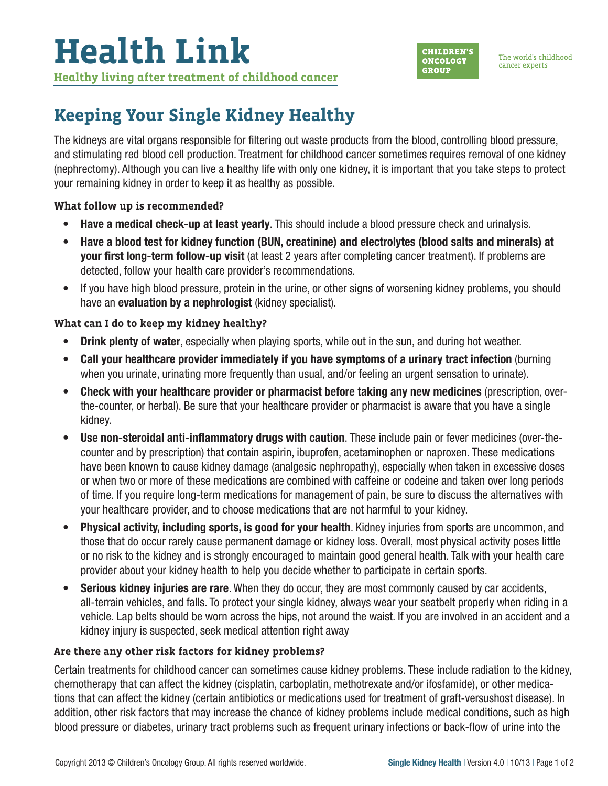

# **Keeping Your Single Kidney Healthy**

The kidneys are vital organs responsible for filtering out waste products from the blood, controlling blood pressure, and stimulating red blood cell production. Treatment for childhood cancer sometimes requires removal of one kidney (nephrectomy). Although you can live a healthy life with only one kidney, it is important that you take steps to protect your remaining kidney in order to keep it as healthy as possible.

#### **What follow up is recommended?**

- Have a medical check-up at least yearly. This should include a blood pressure check and urinalysis.
- Have a blood test for kidney function (BUN, creatinine) and electrolytes (blood salts and minerals) at your first long-term follow-up visit (at least 2 years after completing cancer treatment). If problems are detected, follow your health care provider's recommendations.
- If you have high blood pressure, protein in the urine, or other signs of worsening kidney problems, you should have an **evaluation by a nephrologist** (kidney specialist).

## **What can I do to keep my kidney healthy?**

- Drink plenty of water, especially when playing sports, while out in the sun, and during hot weather.
- Call your healthcare provider immediately if you have symptoms of a urinary tract infection (burning when you urinate, urinating more frequently than usual, and/or feeling an urgent sensation to urinate).
- Check with your healthcare provider or pharmacist before taking any new medicines (prescription, overthe-counter, or herbal). Be sure that your healthcare provider or pharmacist is aware that you have a single kidney.
- Use non-steroidal anti-inflammatory drugs with caution. These include pain or fever medicines (over-thecounter and by prescription) that contain aspirin, ibuprofen, acetaminophen or naproxen. These medications have been known to cause kidney damage (analgesic nephropathy), especially when taken in excessive doses or when two or more of these medications are combined with caffeine or codeine and taken over long periods of time. If you require long-term medications for management of pain, be sure to discuss the alternatives with your healthcare provider, and to choose medications that are not harmful to your kidney.
- Physical activity, including sports, is good for your health. Kidney injuries from sports are uncommon, and those that do occur rarely cause permanent damage or kidney loss. Overall, most physical activity poses little or no risk to the kidney and is strongly encouraged to maintain good general health. Talk with your health care provider about your kidney health to help you decide whether to participate in certain sports.
- Serious kidney injuries are rare. When they do occur, they are most commonly caused by car accidents, all-terrain vehicles, and falls. To protect your single kidney, always wear your seatbelt properly when riding in a vehicle. Lap belts should be worn across the hips, not around the waist. If you are involved in an accident and a kidney injury is suspected, seek medical attention right away

## **Are there any other risk factors for kidney problems?**

Certain treatments for childhood cancer can sometimes cause kidney problems. These include radiation to the kidney, chemotherapy that can affect the kidney (cisplatin, carboplatin, methotrexate and/or ifosfamide), or other medications that can affect the kidney (certain antibiotics or medications used for treatment of graft-versushost disease). In addition, other risk factors that may increase the chance of kidney problems include medical conditions, such as high blood pressure or diabetes, urinary tract problems such as frequent urinary infections or back-flow of urine into the